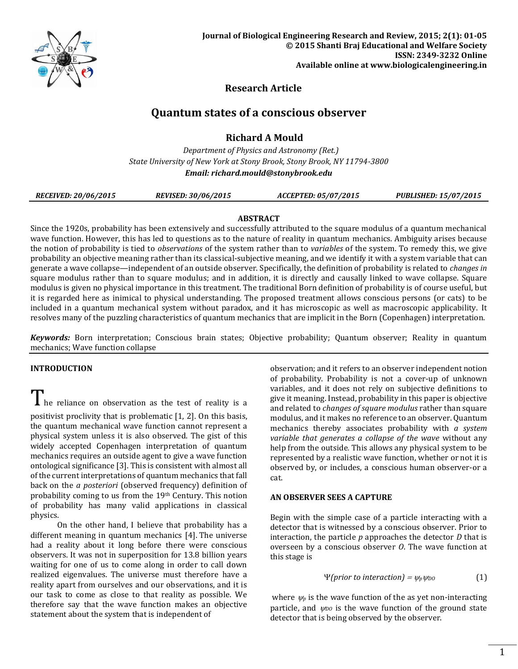

# **Research Article**

# **Quantum states of a conscious observer**

# **Richard A Mould**

 *Department of Physics and Astronomy (Ret.) State University of New York at Stony Brook, Stony Brook, NY 11794-3800 Email[: richard.mould@stonybrook.edu](mailto:richard.mould@stonybrook.edu)*

| <b>RECEIVED: 20/06/2015</b> | <b>REVISED: 30/06/2015</b> | <i>ACCEPTED: 05/07/2015</i> | <b>PUBLISHED: 15/07/2015</b> |
|-----------------------------|----------------------------|-----------------------------|------------------------------|
|-----------------------------|----------------------------|-----------------------------|------------------------------|

## **ABSTRACT**

Since the 1920s, probability has been extensively and successfully attributed to the square modulus of a quantum mechanical wave function. However, this has led to questions as to the nature of reality in quantum mechanics. Ambiguity arises because the notion of probability is tied to *observations* of the system rather than to *variables* of the system. To remedy this, we give probability an objective meaning rather than its classical-subjective meaning, and we identify it with a system variable that can generate a wave collapse—independent of an outside observer. Specifically, the definition of probability is related to *changes in* square modulus rather than to square modulus; and in addition, it is directly and causally linked to wave collapse. Square modulus is given no physical importance in this treatment. The traditional Born definition of probability is of course useful, but it is regarded here as inimical to physical understanding. The proposed treatment allows conscious persons (or cats) to be included in a quantum mechanical system without paradox, and it has microscopic as well as macroscopic applicability. It resolves many of the puzzling characteristics of quantum mechanics that are implicit in the Born (Copenhagen) interpretation.

*Keywords:* Born interpretation; Conscious brain states; Objective probability; Quantum observer; Reality in quantum mechanics; Wave function collapse

## **INTRODUCTION**

I he reliance on observation as the test of reality is a

positivist proclivity that is problematic [1, 2]. On this basis, the quantum mechanical wave function cannot represent a physical system unless it is also observed. The gist of this widely accepted Copenhagen interpretation of quantum mechanics requires an outside agent to give a wave function ontological significance [3]. This is consistent with almost all of the current interpretations of quantum mechanics that fall back on the *a posteriori* (observed frequency) definition of probability coming to us from the 19th Century. This notion of probability has many valid applications in classical physics.

On the other hand, I believe that probability has a different meaning in quantum mechanics [4]. The universe had a reality about it long before there were conscious observers. It was not in superposition for 13.8 billion years waiting for one of us to come along in order to call down realized eigenvalues. The universe must therefore have a reality apart from ourselves and our observations, and it is our task to come as close to that reality as possible. We therefore say that the wave function makes an objective statement about the system that is independent of

observation; and it refers to an observer independent notion of probability. Probability is not a cover-up of unknown variables, and it does not rely on subjective definitions to give it meaning. Instead, probability in this paper is objective and related to *changes of square modulus* rather than square modulus, and it makes no reference to an observer. Quantum mechanics thereby associates probability with *a system variable that generates a collapse of the wave* without any help from the outside*.* This allows any physical system to be represented by a realistic wave function, whether or not it is observed by, or includes, a conscious human observer-or a cat.

## **AN OBSERVER SEES A CAPTURE**

Begin with the simple case of a particle interacting with a detector that is witnessed by a conscious observer. Prior to interaction, the particle *p* approaches the detector *D* that is overseen by a conscious observer *O*. The wave function at this stage is

$$
\Psi(prior\ to\ interaction) = \psi_p \psi_{D0} \tag{1}
$$

where  $\psi_p$  is the wave function of the as yet non-interacting particle, and  $\psi_{D}$  is the wave function of the ground state detector that is being observed by the observer.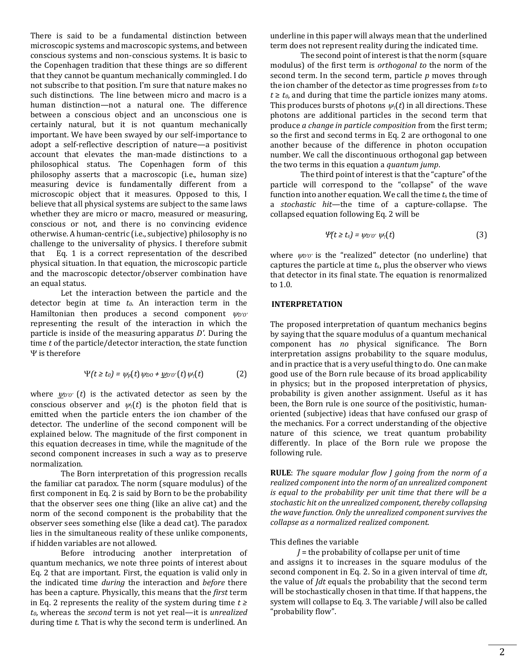There is said to be a fundamental distinction between microscopic systems and macroscopic systems, and between conscious systems and non-conscious systems. It is basic to the Copenhagen tradition that these things are so different that they cannot be quantum mechanically commingled. I do not subscribe to that position. I'm sure that nature makes no such distinctions. The line between micro and macro is a human distinction—not a natural one. The difference between a conscious object and an unconscious one is certainly natural, but it is not quantum mechanically important. We have been swayed by our self-importance to adopt a self-reflective description of nature—a positivist account that elevates the man-made distinctions to a philosophical status. The Copenhagen form of this philosophy asserts that a macroscopic (i.e., human size) measuring device is fundamentally different from a microscopic object that it measures. Opposed to this, I believe that all physical systems are subject to the same laws whether they are micro or macro, measured or measuring, conscious or not, and there is no convincing evidence otherwise. A human-centric (i.e., subjective) philosophy is no challenge to the universality of physics. I therefore submit that Eq. 1 is a correct representation of the described physical situation. In that equation, the microscopic particle and the macroscopic detector/observer combination have an equal status.

 Let the interaction between the particle and the detector begin at time *t0*. An interaction term in the Hamiltonian then produces a second component  $\psi_{D'O'}$ representing the result of the interaction in which the particle is inside of the measuring apparatus *D'*. During the time *t* of the particle/detector interaction, the state function  $\Psi$  is therefore

$$
\Psi(t \geq t_0) = \psi_p(t) \psi_{D0} + \underline{\psi_{D'0'}}(t) \psi_p(t) \tag{2}
$$

where  $\psi_{D'O'}(t)$  is the activated detector as seen by the conscious observer and  $\psi_1(t)$  is the photon field that is emitted when the particle enters the ion chamber of the detector. The underline of the second component will be explained below. The magnitude of the first component in this equation decreases in time, while the magnitude of the second component increases in such a way as to preserve normalization.

The Born interpretation of this progression recalls the familiar cat paradox. The norm (square modulus) of the first component in Eq. 2 is said by Born to be the probability that the observer sees one thing (like an alive cat) and the norm of the second component is the probability that the observer sees something else (like a dead cat). The paradox lies in the simultaneous reality of these unlike components, if hidden variables are not allowed.

Before introducing another interpretation of quantum mechanics, we note three points of interest about Eq. 2 that are important. First, the equation is valid only in the indicated time *during* the interaction and *before* there has been a capture. Physically, this means that the *first* term in Eq. 2 represents the reality of the system during time *t ≥ t0*, whereas the *second* term is not yet real—it is *unrealized* during time *t*. That is why the second term is underlined. An underline in this paper will always mean that the underlined term does not represent reality during the indicated time.

The second point of interest is that the norm (square modulus) of the first term is *orthogonal to* the norm of the second term. In the second term, particle *p* moves through the ion chamber of the detector as time progresses from  $t_0$  to  $t \geq t_0$ , and during that time the particle ionizes many atoms. This produces bursts of photons  $\psi_i(t)$  in all directions. These photons are additional particles in the second term that produce *a change in particle composition* from the first term; so the first and second terms in Eq. 2 are orthogonal to one another because of the difference in photon occupation number. We call the discontinuous orthogonal gap between the two terms in this equation a *quantum jump*.

The third point of interest is that the "capture" of the particle will correspond to the "collapse" of the wave function into another equation. We call the time *t*<sup>s</sup> the time of a *stochastic hit*—the time of a capture-collapse. The collapsed equation following Eq. 2 will be

$$
\Psi(t \ge t_s) = \psi_{D'O'} \psi_{\gamma}(t) \tag{3}
$$

where  $\psi_{D'O'}$  is the "realized" detector (no underline) that captures the particle at time *t*s, plus the observer who views that detector in its final state. The equation is renormalized to 1.0.

## **INTERPRETATION**

The proposed interpretation of quantum mechanics begins by saying that the square modulus of a quantum mechanical component has *no* physical significance. The Born interpretation assigns probability to the square modulus, and in practice that is a very useful thing to do. One can make good use of the Born rule because of its broad applicability in physics; but in the proposed interpretation of physics, probability is given another assignment. Useful as it has been, the Born rule is one source of the positivistic, humanoriented (subjective) ideas that have confused our grasp of the mechanics. For a correct understanding of the objective nature of this science, we treat quantum probability differently. In place of the Born rule we propose the following rule.

**RULE**: *The square modular flow J going from the norm of a realized component into the norm of an unrealized component is equal to the probability per unit time that there will be a stochastic hit on the unrealized component, thereby collapsing the wave function. Only the unrealized component survives the collapse as a normalized realized component.*

This defines the variable

*J* = the probability of collapse per unit of time and assigns it to increases in the square modulus of the second component in Eq. 2. So in a given interval of time *dt*, the value of *Jdt* equals the probability that the second term will be stochastically chosen in that time. If that happens, the system will collapse to Eq. 3. The variable *J* will also be called "probability flow".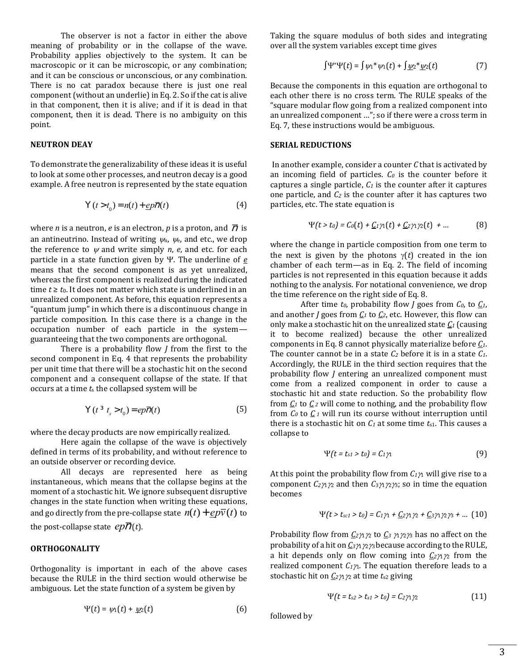The observer is not a factor in either the above meaning of probability or in the collapse of the wave. Probability applies objectively to the system. It can be macroscopic or it can be microscopic, or any combination; and it can be conscious or unconscious, or any combination. There is no cat paradox because there is just one real component(without an underlie) in Eq. 2. So if the cat is alive in that component, then it is alive; and if it is dead in that component, then it is dead. There is no ambiguity on this point.

## **NEUTRON DEAY**

To demonstrate the generalizability of these ideas it is useful to look at some other processes, and neutron decay is a good example. A free neutron is represented by the state equation

$$
Y(t > t_0) = n(t) + \underline{e}p\overline{n}(t)
$$
 (4)

where *n* is a neutron, *e* is an electron, *p* is a proton, and  $\overline{D}$  is an antineutrino. Instead of writing  $\psi_n$ ,  $\psi_e$ , and etc., we drop the reference to  $\nu$  and write simply *n*, *e*, and etc. for each particle in a state function given by Y. The underline of  $e$ means that the second component is as yet unrealized, whereas the first component is realized during the indicated time  $t \geq t_0$ . It does not matter which state is underlined in an unrealized component. As before, this equation represents a "quantum jump" in which there is a discontinuous change in particle composition. In this case there is a change in the occupation number of each particle in the system guaranteeing that the two components are orthogonal.

 There is a probability flow *J* from the first to the second component in Eq. 4 that represents the probability per unit time that there will be a stochastic hit on the second component and a consequent collapse of the state. If that occurs at a time *t*<sup>s</sup> the collapsed system will be

$$
\forall (t \; {}^{3}t_{s} > t_{0}) = ep\overline{\eta}(t) \tag{5}
$$

where the decay products are now empirically realized.

 Here again the collapse of the wave is objectively defined in terms of its probability, and without reference to an outside observer or recording device.

 All decays are represented here as being instantaneous, which means that the collapse begins at the moment of a stochastic hit. We ignore subsequent disruptive changes in the state function when writing these equations, and go directly from the pre-collapse state  $n(t) + \varrho p \overline{v}(t)$  to the post-collapse state  $ep\overline{\overline{\rho}}(t)$ .

## **ORTHOGONALITY**

Orthogonality is important in each of the above cases because the RULE in the third section would otherwise be ambiguous. Let the state function of a system be given by

$$
\Psi(t) = \psi_1(t) + \underline{\psi_2}(t) \tag{6}
$$

Taking the square modulus of both sides and integrating over all the system variables except time gives

$$
\int \Psi^* \Psi(t) = \int \psi_1^* \psi_1(t) + \int \underline{\psi_2^* \psi_2(t)} \tag{7}
$$

Because the components in this equation are orthogonal to each other there is no cross term. The RULE speaks of the "square modular flow going from a realized component into an unrealized component …"; so if there were a cross term in Eq. 7, these instructions would be ambiguous.

#### **SERIAL REDUCTIONS**

In another example, consider a counter *C* that is activated by an incoming field of particles. *C<sup>0</sup>* is the counter before it captures a single particle, *C<sup>1</sup>* is the counter after it captures one particle, and *C<sup>2</sup>* is the counter after it has captures two particles, etc. The state equation is

$$
\Psi(t > t_0) = C_0(t) + \underline{C_1 \gamma_1}(t) + \underline{C_2 \gamma_1 \gamma_2}(t) + \dots \tag{8}
$$

where the change in particle composition from one term to the next is given by the photons  $\gamma(t)$  created in the ion chamber of each term—as in Eq. 2. The field of incoming particles is not represented in this equation because it adds nothing to the analysis. For notational convenience, we drop the time reference on the right side of Eq. 8.

After time *t0*, probability flow *J* goes from *C0*, to *C1*, and another *J* goes from  $C_1$  to  $C_2$ , etc. However, this flow can only make a stochastic hit on the unrealized state *C<sup>1</sup>* (causing it to become realized) because the other unrealized components in Eq. 8 cannot physically materialize before *C1*. The counter cannot be in a state *C<sup>2</sup>* before it is in a state *C1*. Accordingly, the RULE in the third section requires that the probability flow *J* entering an unrealized component must come from a realized component in order to cause a stochastic hit and state reduction. So the probability flow from  $C_1$  to  $C_2$  will come to nothing, and the probability flow from  $C_0$  to  $C_1$  will run its course without interruption until there is a stochastic hit on  $C_1$  at some time  $t_{s1}$ . This causes a collapse to

$$
\Psi(t = t_{s1} > t_0) = C_1 \gamma_1 \tag{9}
$$

At this point the probability flow from  $C_1\gamma_1$  will give rise to a component  $C_2\gamma_1\gamma_2$  and then  $C_3\gamma_1\gamma_2\gamma_3$ ; so in time the equation becomes

$$
\Psi(t > t_{sc1} > t_0) = C_1 \gamma_1 + C_2 \gamma_1 \gamma_2 + C_3 \gamma_1 \gamma_2 \gamma_3 + ... (10)
$$

Probability flow from  $C_2 \gamma_1 \gamma_2$  to  $C_3 \gamma_1 \gamma_2 \gamma_3$  has no affect on the probability of a hit on  $C_3 \gamma_1 \gamma_2 \gamma_3$  because according to the RULE, a hit depends only on flow coming into  $C_2\gamma_1\gamma_2$  from the realized component  $C_1\gamma$ . The equation therefore leads to a stochastic hit on *C2*1<sup>2</sup> at time *t*s2 giving

$$
\Psi(t = t_{s2} > t_{s1} > t_0) = C_2 \gamma_1 \gamma_2 \tag{11}
$$

followed by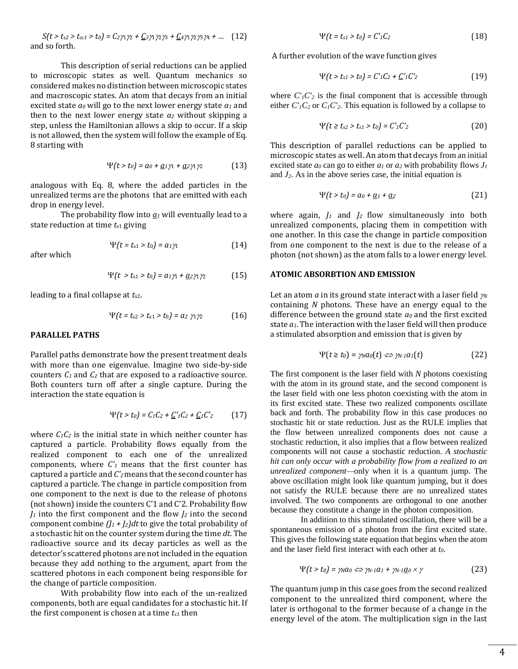$S(t > t_{s2} > t_{sc1} > t_0) = C_2 \gamma_1 \gamma_2 + C_3 \gamma_1 \gamma_2 \gamma_3 + C_4 \gamma_1 \gamma_2 \gamma_3 \gamma_4 + ...$  (12) and so forth.

This description of serial reductions can be applied to microscopic states as well. Quantum mechanics so considered makes no distinction between microscopic states and macroscopic states. An atom that decays from an initial excited state *a<sup>0</sup>* will go to the next lower energy state *a<sup>1</sup>* and then to the next lower energy state *a<sup>2</sup>* without skipping a step, unless the Hamiltonian allows a skip to occur. If a skip is not allowed, then the system will follow the example of Eq. 8 starting with

$$
\Psi(t > t_0) = a_0 + \underline{a_1} \gamma_1 + \underline{a_2} \gamma_1 \gamma_2 \tag{13}
$$

analogous with Eq. 8, where the added particles in the unrealized terms are the photons that are emitted with each drop in energy level.

The probability flow into  $q_1$  will eventually lead to a state reduction at time  $t_{s1}$  giving

$$
\Psi(t = t_{s1} > t_0) = a_1 \gamma_1 \tag{14}
$$

after which

$$
\Psi(t > t_{s1} > t_0) = a_1 \gamma_1 + \underline{a_2} \gamma_1 \gamma_2 \tag{15}
$$

leading to a final collapse at *t*s2.

$$
\Psi(t = t_{s2} > t_{s1} > t_0) = a_2 \gamma_1 \gamma_2 \tag{16}
$$

## **PARALLEL PATHS**

Parallel paths demonstrate how the present treatment deals with more than one eigenvalue. Imagine two side-by-side counters *C<sup>1</sup>* and *C<sup>2</sup>* that are exposed to a radioactive source. Both counters turn off after a single capture. During the interaction the state equation is

$$
\Psi(t > t_0) = C_1 C_2 + \underline{C'}_1 C_2 + \underline{C}_1 C'_2 \qquad (17)
$$

where  $C_1C_2$  is the initial state in which neither counter has captured a particle. Probability flows equally from the realized component to each one of the unrealized components, where *C'<sup>1</sup>* means that the first counter has captured a particle and *C'2*means that the second counter has captured a particle. The change in particle composition from one component to the next is due to the release of photons (not shown) inside the counters C'1 and C'2. Probability flow *J<sup>1</sup>* into the first component and the flow *J<sup>2</sup>* into the second component combine  $(I_1 + I_2)dt$  to give the total probability of a stochastic hit on the counter system during the time *dt*. The radioactive source and its decay particles as well as the detector's scattered photons are not included in the equation because they add nothing to the argument, apart from the scattered photons in each component being responsible for the change of particle composition.

 With probability flow into each of the un-realized components, both are equal candidates for a stochastic hit. If the first component is chosen at a time *ts1* then

$$
\Psi(t = t_{s1} > t_0) = C_1' C_2 \tag{18}
$$

A further evolution of the wave function gives

$$
\Psi(t > t_{s1} > t_0) = C_1' C_2 + C_1' C_2' \tag{19}
$$

where  $C<sub>1</sub>C<sub>2</sub>$  is the final component that is accessible through either  $C<sub>1</sub>C<sub>2</sub>$  or  $C<sub>1</sub>C<sub>2</sub>$ . This equation is followed by a collapse to

$$
\Psi(t \ge t_{s2} > t_{s1} > t_0) = C_1' C_2' \tag{20}
$$

This description of parallel reductions can be applied to microscopic states as well. An atom that decays from an initial excited state  $a_0$  can go to either  $a_1$  or  $a_2$  with probability flows  $J_1$ and  $J_2$ . As in the above series case, the initial equation is

$$
\Psi(t > t_0) = a_0 + \underline{a}_1 + \underline{a}_2 \tag{21}
$$

where again, *J<sup>1</sup>* and *J2* flow simultaneously into both unrealized components, placing them in competition with one another. In this case the change in particle composition from one component to the next is due to the release of a photon (not shown) as the atom falls to a lower energy level.

## **ATOMIC ABSORBTION AND EMISSION**

Let an atom  $\alpha$  in its ground state interact with a laser field  $\gamma$ containing *N* photons. These have an energy equal to the difference between the ground state *a<sup>0</sup>* and the first excited state *a1*. The interaction with the laser field will then produce a stimulated absorption and emission that is given by

$$
\Psi(t \ge t_0) = \gamma_N a_0(t) \Leftrightarrow \gamma_{N-1} a_1(t) \tag{22}
$$

The first component is the laser field with *N* photons coexisting with the atom in its ground state, and the second component is the laser field with one less photon coexisting with the atom in its first excited state. These two realized components oscillate back and forth. The probability flow in this case produces no stochastic hit or state reduction. Just as the RULE implies that the flow between unrealized components does not cause a stochastic reduction, it also implies that a flow between realized components will not cause a stochastic reduction. *A stochastic hit can only occur with a probability flow from a realized to an unrealized component—*only when it is a quantum jump. The above oscillation might look like quantum jumping, but it does not satisfy the RULE because there are no unrealized states involved. The two components are orthogonal to one another because they constitute a change in the photon composition.

In addition to this stimulated oscillation, there will be a spontaneous emission of a photon from the first excited state. This gives the following state equation that begins when the atom and the laser field first interact with each other at *t0*.

$$
\Psi(t > t_0) = \gamma_0 a_0 \Leftrightarrow \gamma_{N-1} a_1 + \gamma_{N-1} \underline{a}_0 \times \gamma \tag{23}
$$

The quantum jump in this case goes from the second realized component to the unrealized third component, where the later is orthogonal to the former because of a change in the energy level of the atom. The multiplication sign in the last